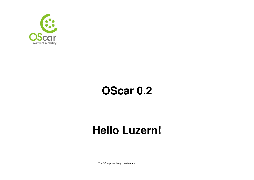

## **OScar 0.2**

## **Hello Luzern!**

TheOScarproject.org | markus merz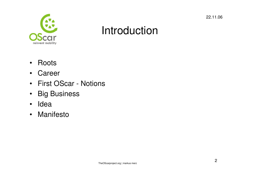

### Introduction

- Roots
- Career
- First OScar Notions
- Big Business
- Idea
- Manifesto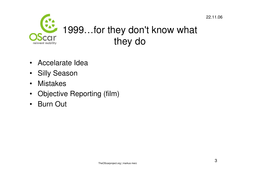

- Accelarate Idea
- Silly Season
- Mistakes
- Objective Reporting (film)
- •Burn Out

3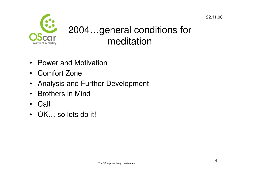

### 2004…general conditions for meditation

- Power and Motivation
- Comfort Zone
- Analysis and Further Development
- Brothers in Mind
- Call
- OK… so lets do it!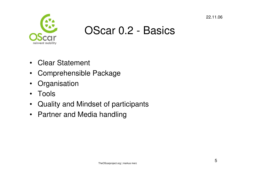

- Clear Statement
- Comprehensible Package
- Organisation
- $\bullet$ Tools
- Quality and Mindset of participants
- Partner and Media handling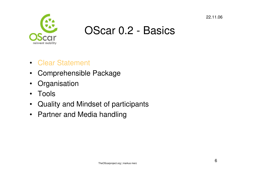

- Clear Statement
- Comprehensible Package
- Organisation
- $\bullet$ Tools
- Quality and Mindset of participants
- Partner and Media handling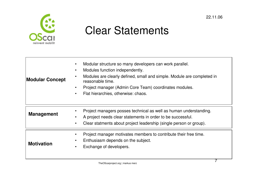

### Clear Statements

| <b>Modular Concept</b> | Modular structure so many developers can work parallel.<br>Modules function independently.<br>$\bullet$<br>Modules are clearly defined, small and simple. Module are completed in<br>reasonable time.<br>Project manager (Admin Core Team) coordinates modules.<br>$\bullet$<br>Flat hierarchies, otherwise: chaos. |
|------------------------|---------------------------------------------------------------------------------------------------------------------------------------------------------------------------------------------------------------------------------------------------------------------------------------------------------------------|
| <b>Management</b>      | Project managers posses technical as well as human understanding.<br>A project needs clear statements in order to be successful.<br>Clear statments about project leadership (single person or group).<br>$\bullet$                                                                                                 |
| <b>Motivation</b>      | Project manager motivates members to contribute their free time.<br>Enthusiasm depends on the subject.<br>Exchange of developers.                                                                                                                                                                                   |

7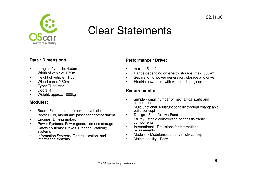

### Clear Statements

### **Data / Dimensions:**

- •Length of vehicle: 4.00m
- •Width of vehicle: 1.75m
- •Height of vehicle : 1.55m
- •Wheel base: 2.50m
- •Type: Tilted rear
- •Doors: 4
- •Weight: approx. 1000kg

### **Modules:**

- •Board: Floor pan and bracket of vehicle
- •Body: Build, mount and passenger compartment
- •Engines: Driving motors
- •Power Systems: Power generation and storage
- • Safety Systems: Brakes, Steering, Warning systems<sup>1</sup>
- Information Systems: Communication- and information systems•

### **Performance / Drive:**

- •max. 145 km/h
- •Range depending on energy storage (max. 500km)
- •Separation of power generation, storage and drive
- •Electric powertrain with wheel hub engines

### **Requirements:**

- • Simple - small number of mechanical parts and components
- Multifunctional- Multifunctionality through changeable build concept •
- Design Form follows Function •
- • Sturdy - stable construction of chassis frame components
- International Provisions for international •requirements
- Modular Modularisation of vehicle concept •
- •Maintainability - Easy

#### 22.11.06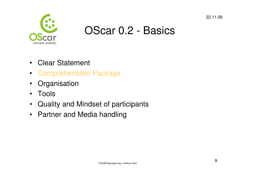

- Clear Statement
- Comprehensible Package
- Organisation
- $\bullet$ Tools
- Quality and Mindset of participants
- Partner and Media handling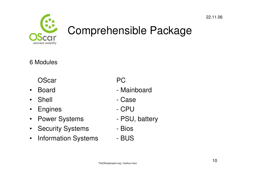

## Comprehensible Package

### 6 Modules

- OScar PC
- $\bullet$
- Shell
- $\bullet$ Engines - CPU
- $\bullet$ **Power Systems**
- Security Systems Bios
- $\bullet$ Information Systems - BUS

- Board Mainboard
	- Case
	-
	- PSU, battery
	-
	-

### 22.11.06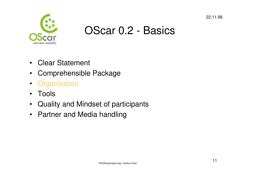

- Clear Statement
- Comprehensible Package
- Organisation
- $\bullet$ Tools
- $\bullet$ Quality and Mindset of participants
- Partner and Media handling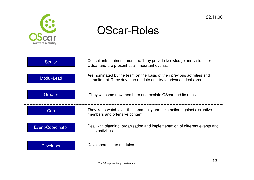

### OScar-Roles

| <b>Senior</b>            | Consultants, trainers, mentors. They provide knowledge and visions for<br>OScar and are present at all important events.                   |
|--------------------------|--------------------------------------------------------------------------------------------------------------------------------------------|
| Modul-Lead               | Are nominated by the team on the basis of their previous activities and<br>commitment. They drive the module and try to advance decisions. |
| <b>Greeter</b>           | They welcome new members and explain OScar and its rules.                                                                                  |
| Cop                      | They keep watch over the community and take action against disruptive<br>members and offensive content.                                    |
| <b>Event-Coordinator</b> | Deal with planning, organisation and implementation of different events and<br>sales activities.                                           |
| <b>Developer</b>         | Developers in the modules.                                                                                                                 |

12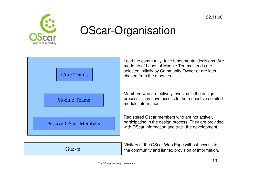

## OScar-Organisation



13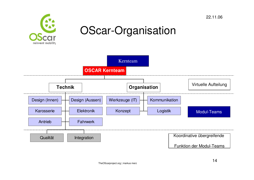

### OScar-Organisation

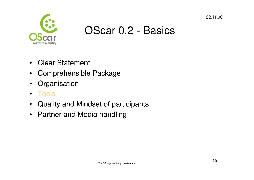

- Clear Statement
- Comprehensible Package
- Organisation
- Tools
- Quality and Mindset of participants
- Partner and Media handling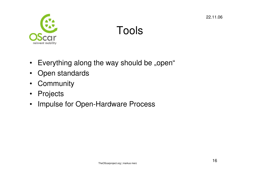

## Tools

- Everything along the way should be "open"
- Open standards
- Community
- Projects
- Impulse for Open-Hardware Process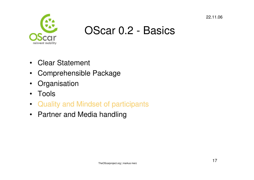

- Clear Statement
- Comprehensible Package
- Organisation
- $\bullet$ Tools
- Quality and Mindset of participants
- Partner and Media handling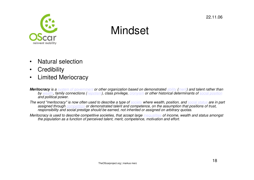

### **Mindset**

- $\bullet$ Natural selection
- •**Credibility**
- Limited Meriocracy $\bullet$
- **Meritocracy** is a system of government or other organization based on demonstrated ability (merit) and talent rather than<br>https://www.akita.com/www.akita.com/www.akita.com/www.akita.com/www.akita.com/www.akita.com/www.aki by <u>wealth</u>, family connections (<u>nepotism</u>), class privilege, <u>cronyism</u> or other historical determinants of <u>social position</u><br>and political power and political power.
- The word "meritocracy" is now often used to describe a type of <u>society</u> where wealth, position, and <u>social status</u> are in part assigned through competition or demonstrated talent and competence, on the assumption that positions of trust,<br>seemed thit was also sight associated to a second not inherited as a science as a subtrace was to a responsibility and social prestige should be earned, not inherited or assigned on arbitrary quotas.
- Meritocracy is used to describe competitive societies, that accept large <u>inequalities</u> of income, wealth and status amongst the population as a function of perceived talent, merit, competence, motivation and effort.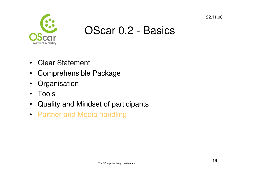

- Clear Statement
- Comprehensible Package
- Organisation
- $\bullet$ Tools
- Quality and Mindset of participants
- Partner and Media handling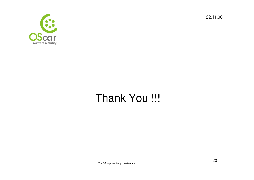



## Thank You !!!